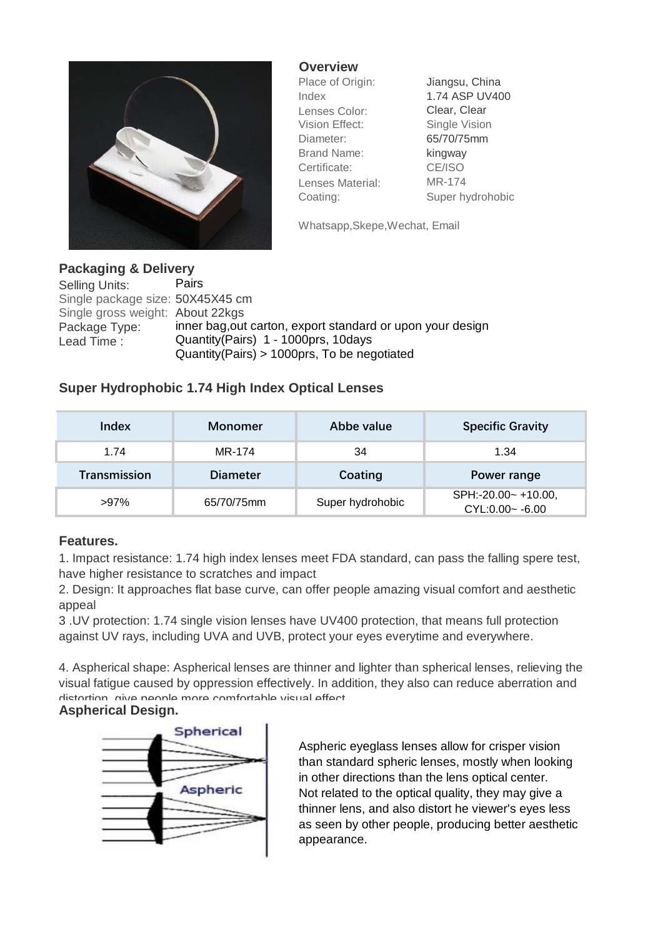

**Overview**

Place of Origin: Jiangsu, China Index 1.74 ASP UV400 Lenses Color: Clear, Clear Vision Effect: Single Vision Diameter: 65/70/75mm Brand Name: kingway Certificate: CE/ISO Lenses Material: MR-174 Coating: Super hydrohobic

Whatsapp,Skepe,Wechat, Email

## **Packaging & Delivery** Selling Units: Pairs Single package size: 50X45X45 cm Single gross weight: About 22kgs

Package Type: inner bag, out carton, export standard or upon your design Lead Time : Quantity (Pairs) 1 - 1000prs, 10days Quantity(Pairs) > 1000prs, To be negotiated

# **Super Hydrophobic 1.74 High Index Optical Lenses**

| Index               | Monomer         | Abbe value       | <b>Specific Gravity</b>                   |
|---------------------|-----------------|------------------|-------------------------------------------|
| 1.74                | MR-174          | 34               | 1.34                                      |
| <b>Transmission</b> | <b>Diameter</b> | Coating          | Power range                               |
| $>97\%$             | 65/70/75mm      | Super hydrohobic | SPH:-20.00~ +10.00,<br>$CYL:0.00 - -6.00$ |

# **Features.**

1. Impact resistance: 1.74 high index lenses meet FDA standard, can pass the falling spere test, have higher resistance to scratches and impact

2. Design: It approaches flat base curve, can offer people amazing visual comfort and aesthetic appeal

3 .UV protection: 1.74 single vision lenses have UV400 protection, that means full protection against UV rays, including UVA and UVB, protect your eyes everytime and everywhere.

4. Aspherical shape: Aspherical lenses are thinner and lighter than spherical lenses, relieving the visual fatigue caused by oppression effectively. In addition, they also can reduce aberration and distortion, give people more comfortable visual effect.

### **Aspherical Design.**



Aspheric eyeglass lenses allow for crisper vision than standard spheric lenses, mostly when looking in other directions than the lens optical center. Not related to the optical quality, they may give a thinner lens, and also distort he viewer's eyes less as seen by other people, producing better aesthetic appearance.